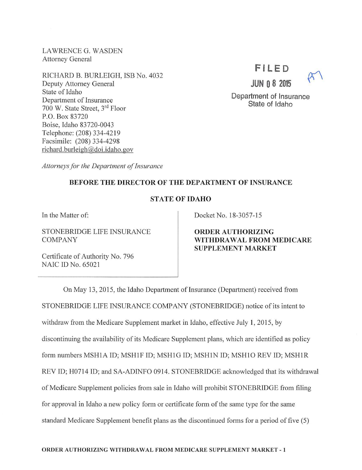LAWRENCE G. WASDEN Attorney General

RICHARD B. BURLEIGH, ISB No. 4032 Deputy Attorney General State of Idaho Department of Insurance 700 W. State Street, 3rd Floor P.O. Box 83720 Boise, Idaho 83720-0043 Telephone: (208) 334-4219 Facsimile: (208) 334-4298 richard.burleigh@doi.idaho.gov

## **Fl LED**



Department of Insurance State of Idaho

**JUN 0 8 2015** 

*A11orneys for the Department of Insurance* 

### BEFORE THE DIRECTOR OF THE DEPARTMENT OF INSURANCE

### **STATE OF IDAHO**

In the Matter of:

STONEBRIDGE LIFE INSURANCE COMPANY

Certificate of Authority No. 796 NAIC ID No. 65021

Docket No. 18-3057-15

ORDER AUTHORIZING WITHDRAWAL FROM MEDICARE SUPPLEMENT MARKET

On May 13, 2015, the Idaho Department of Insurance (Department) received from STONEBRIDGE LIFE INSURANCE COMPANY (STONEBRIDGE) notice of its intent to withdraw from the Medicare Supplement market in Idaho, effective July 1, 2015, by discontinuing the availability of its Medicare Supplement plans, which are identified as policy form numbers MSH1A ID; MSH1F ID; MSH1G ID; MSH1N ID; MSH1O REV ID; MSH1R REV ID; H0714 ID; and SA-ADINFO 0914. STONEBRIDGE acknowledged that its withdrawal of Medicare Supplement policies from sale in Idaho will prohibit STONEBRIDGE from filing for approval in Idaho a new policy form or certificate form of the same type for the same standard Medicare Supplement benefit plans as the discontinued forms for a period of five (5)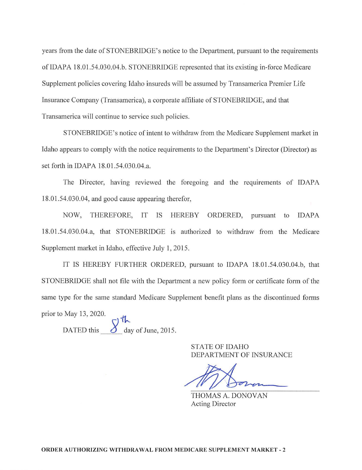years from the date of STONEBRIDGE's notice to the Department, pursuant to the requirements of IDAPA 18.01.54.030.04.b. STONEBRIDGE represented that its existing in-force Medicare Supplement policies covering Idaho insureds will be assumed by Transamerica Premier Life Insurance Company (Transamerica), a corporate affiliate of STONEBRIDGE, and that Transamerica will continue to service such policies.

STONEBRIDGE's notice of intent to withdraw from the Medicare Supplement market in Idaho appears to comply with the notice requirements to the Department's Director (Director) as set forth in IDAPA 18.01.54.030.04.a.

The Director, having reviewed the foregoing and the requirements of IDAPA 18.01.54.030.04, and good cause appearing therefor,

NOW, THEREFORE, IT IS HEREBY ORDERED, pursuant to IDAPA 18.01.54.030.04.a, that STONEBRIDGE is authorized to withdraw from the Medicare Supplement market in Idaho, effective July 1, 2015.

IT IS HEREBY FURTHER ORDERED, pursuant to IDAPA 18.01.54.030.04.b, that STONEBRIDGE shall not file with the Department a new policy form or certificate form of the same type for the same standard Medicare Supplement benefit plans as the discontinued forms prior to May 13, 2020.

DATED this  $\int_{\text{day of June, 2015.}}^{\text{th}}$ 

STATE OF IDAHO DEPARTMENT OF INSURANCE

THOMAS A. DONOVAN Acting Director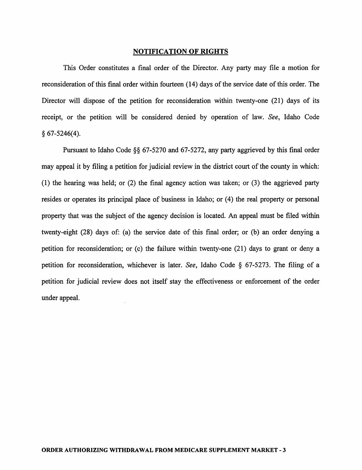#### NOTIFICATION OF RIGHTS

This Order constitutes a final order of the Director. Any party may file a motion for reconsideration of this final order within fourteen (14) days of the service date of this order. The Director will dispose of the petition for reconsideration within twenty-one (21) days of its receipt, or the petition will be considered denied by operation of law. *See,* Idaho Code § 67-5246(4).

Pursuant to Idaho Code §§ 67-5270 and 67-5272, any party aggrieved by this final order may appeal it by filing a petition for judicial review in the district court of the county in which: (1) the hearing was held; or (2) the final agency action was taken; or (3) the aggrieved party resides or operates its principal place of business in Idaho; or  $(4)$  the real property or personal property that was the subject of the agency decision is located. An appeal must be filed within twenty-eight (28) days of: (a) the service date of this final order; or (b) an order denying a petition for reconsideration; or  $(c)$  the failure within twenty-one  $(21)$  days to grant or deny a petition for reconsideration, whichever is later. *See,* Idaho Code § 67-5273. The filing of a petition for judicial review does not itself stay the effectiveness or enforcement of the order under appeal.